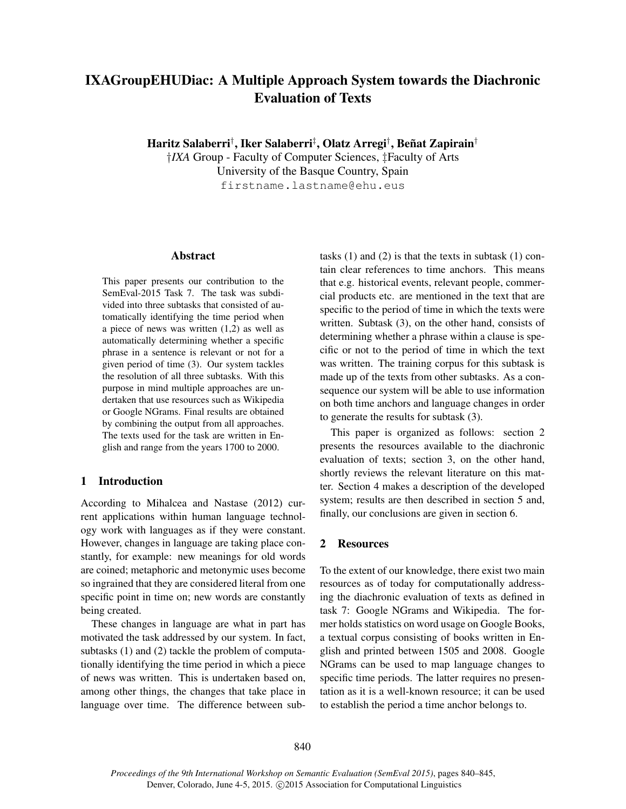# IXAGroupEHUDiac: A Multiple Approach System towards the Diachronic Evaluation of Texts

Haritz Salaberri† , Iker Salaberri‡ , Olatz Arregi† , Beñat Zapirain† †*IXA* Group - Faculty of Computer Sciences, ‡Faculty of Arts University of the Basque Country, Spain

firstname.lastname@ehu.eus

#### Abstract

This paper presents our contribution to the SemEval-2015 Task 7. The task was subdivided into three subtasks that consisted of automatically identifying the time period when a piece of news was written (1,2) as well as automatically determining whether a specific phrase in a sentence is relevant or not for a given period of time (3). Our system tackles the resolution of all three subtasks. With this purpose in mind multiple approaches are undertaken that use resources such as Wikipedia or Google NGrams. Final results are obtained by combining the output from all approaches. The texts used for the task are written in English and range from the years 1700 to 2000.

# 1 Introduction

According to Mihalcea and Nastase (2012) current applications within human language technology work with languages as if they were constant. However, changes in language are taking place constantly, for example: new meanings for old words are coined; metaphoric and metonymic uses become so ingrained that they are considered literal from one specific point in time on; new words are constantly being created.

These changes in language are what in part has motivated the task addressed by our system. In fact, subtasks (1) and (2) tackle the problem of computationally identifying the time period in which a piece of news was written. This is undertaken based on, among other things, the changes that take place in language over time. The difference between subtasks (1) and (2) is that the texts in subtask (1) contain clear references to time anchors. This means that e.g. historical events, relevant people, commercial products etc. are mentioned in the text that are specific to the period of time in which the texts were written. Subtask (3), on the other hand, consists of determining whether a phrase within a clause is specific or not to the period of time in which the text was written. The training corpus for this subtask is made up of the texts from other subtasks. As a consequence our system will be able to use information on both time anchors and language changes in order to generate the results for subtask (3).

This paper is organized as follows: section 2 presents the resources available to the diachronic evaluation of texts; section 3, on the other hand, shortly reviews the relevant literature on this matter. Section 4 makes a description of the developed system; results are then described in section 5 and, finally, our conclusions are given in section 6.

# 2 Resources

To the extent of our knowledge, there exist two main resources as of today for computationally addressing the diachronic evaluation of texts as defined in task 7: Google NGrams and Wikipedia. The former holds statistics on word usage on Google Books, a textual corpus consisting of books written in English and printed between 1505 and 2008. Google NGrams can be used to map language changes to specific time periods. The latter requires no presentation as it is a well-known resource; it can be used to establish the period a time anchor belongs to.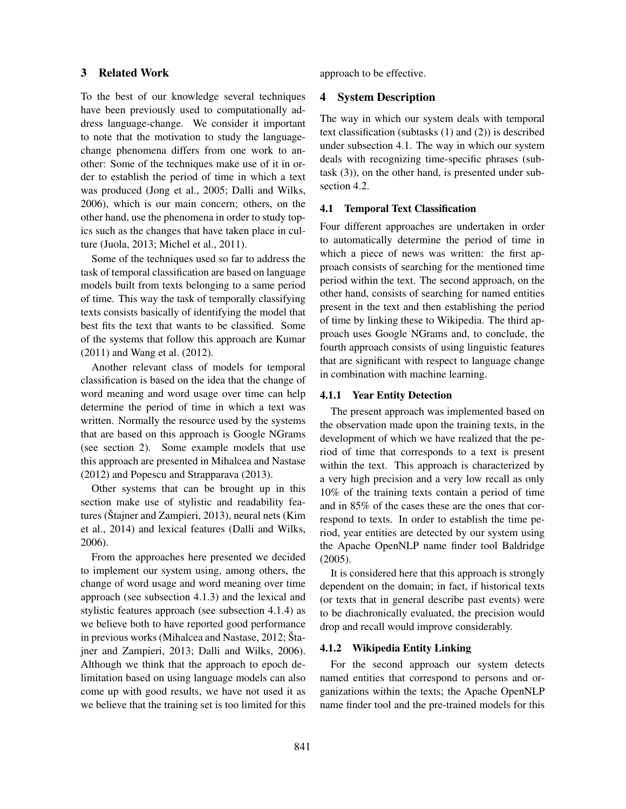# 3 Related Work

To the best of our knowledge several techniques have been previously used to computationally address language-change. We consider it important to note that the motivation to study the languagechange phenomena differs from one work to another: Some of the techniques make use of it in order to establish the period of time in which a text was produced (Jong et al., 2005; Dalli and Wilks, 2006), which is our main concern; others, on the other hand, use the phenomena in order to study topics such as the changes that have taken place in culture (Juola, 2013; Michel et al., 2011).

Some of the techniques used so far to address the task of temporal classification are based on language models built from texts belonging to a same period of time. This way the task of temporally classifying texts consists basically of identifying the model that best fits the text that wants to be classified. Some of the systems that follow this approach are Kumar (2011) and Wang et al. (2012).

Another relevant class of models for temporal classification is based on the idea that the change of word meaning and word usage over time can help determine the period of time in which a text was written. Normally the resource used by the systems that are based on this approach is Google NGrams (see section 2). Some example models that use this approach are presented in Mihalcea and Nastase (2012) and Popescu and Strapparava (2013).

Other systems that can be brought up in this section make use of stylistic and readability features (Štajner and Zampieri, 2013), neural nets (Kim et al., 2014) and lexical features (Dalli and Wilks, 2006).

From the approaches here presented we decided to implement our system using, among others, the change of word usage and word meaning over time approach (see subsection 4.1.3) and the lexical and stylistic features approach (see subsection 4.1.4) as we believe both to have reported good performance in previous works (Mihalcea and Nastase, 2012; Štajner and Zampieri, 2013; Dalli and Wilks, 2006). Although we think that the approach to epoch delimitation based on using language models can also come up with good results, we have not used it as we believe that the training set is too limited for this approach to be effective.

### 4 System Description

The way in which our system deals with temporal text classification (subtasks (1) and (2)) is described under subsection 4.1. The way in which our system deals with recognizing time-specific phrases (subtask (3)), on the other hand, is presented under subsection 4.2.

# 4.1 Temporal Text Classification

Four different approaches are undertaken in order to automatically determine the period of time in which a piece of news was written: the first approach consists of searching for the mentioned time period within the text. The second approach, on the other hand, consists of searching for named entities present in the text and then establishing the period of time by linking these to Wikipedia. The third approach uses Google NGrams and, to conclude, the fourth approach consists of using linguistic features that are significant with respect to language change in combination with machine learning.

### 4.1.1 Year Entity Detection

The present approach was implemented based on the observation made upon the training texts, in the development of which we have realized that the period of time that corresponds to a text is present within the text. This approach is characterized by a very high precision and a very low recall as only 10% of the training texts contain a period of time and in 85% of the cases these are the ones that correspond to texts. In order to establish the time period, year entities are detected by our system using the Apache OpenNLP name finder tool Baldridge (2005).

It is considered here that this approach is strongly dependent on the domain; in fact, if historical texts (or texts that in general describe past events) were to be diachronically evaluated, the precision would drop and recall would improve considerably.

### 4.1.2 Wikipedia Entity Linking

For the second approach our system detects named entities that correspond to persons and organizations within the texts; the Apache OpenNLP name finder tool and the pre-trained models for this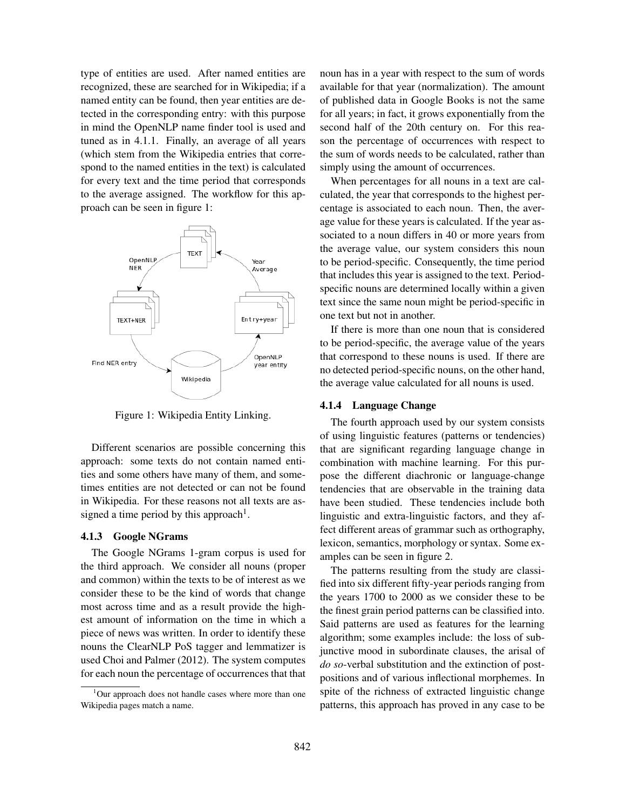type of entities are used. After named entities are recognized, these are searched for in Wikipedia; if a named entity can be found, then year entities are detected in the corresponding entry: with this purpose in mind the OpenNLP name finder tool is used and tuned as in 4.1.1. Finally, an average of all years (which stem from the Wikipedia entries that correspond to the named entities in the text) is calculated for every text and the time period that corresponds to the average assigned. The workflow for this approach can be seen in figure 1:



Figure 1: Wikipedia Entity Linking.

Different scenarios are possible concerning this approach: some texts do not contain named entities and some others have many of them, and sometimes entities are not detected or can not be found in Wikipedia. For these reasons not all texts are assigned a time period by this approach<sup>1</sup>.

#### 4.1.3 Google NGrams

The Google NGrams 1-gram corpus is used for the third approach. We consider all nouns (proper and common) within the texts to be of interest as we consider these to be the kind of words that change most across time and as a result provide the highest amount of information on the time in which a piece of news was written. In order to identify these nouns the ClearNLP PoS tagger and lemmatizer is used Choi and Palmer (2012). The system computes for each noun the percentage of occurrences that that noun has in a year with respect to the sum of words available for that year (normalization). The amount of published data in Google Books is not the same for all years; in fact, it grows exponentially from the second half of the 20th century on. For this reason the percentage of occurrences with respect to the sum of words needs to be calculated, rather than simply using the amount of occurrences.

When percentages for all nouns in a text are calculated, the year that corresponds to the highest percentage is associated to each noun. Then, the average value for these years is calculated. If the year associated to a noun differs in 40 or more years from the average value, our system considers this noun to be period-specific. Consequently, the time period that includes this year is assigned to the text. Periodspecific nouns are determined locally within a given text since the same noun might be period-specific in one text but not in another.

If there is more than one noun that is considered to be period-specific, the average value of the years that correspond to these nouns is used. If there are no detected period-specific nouns, on the other hand, the average value calculated for all nouns is used.

### 4.1.4 Language Change

The fourth approach used by our system consists of using linguistic features (patterns or tendencies) that are significant regarding language change in combination with machine learning. For this purpose the different diachronic or language-change tendencies that are observable in the training data have been studied. These tendencies include both linguistic and extra-linguistic factors, and they affect different areas of grammar such as orthography, lexicon, semantics, morphology or syntax. Some examples can be seen in figure 2.

The patterns resulting from the study are classified into six different fifty-year periods ranging from the years 1700 to 2000 as we consider these to be the finest grain period patterns can be classified into. Said patterns are used as features for the learning algorithm; some examples include: the loss of subjunctive mood in subordinate clauses, the arisal of *do so*-verbal substitution and the extinction of postpositions and of various inflectional morphemes. In spite of the richness of extracted linguistic change patterns, this approach has proved in any case to be

<sup>&</sup>lt;sup>1</sup>Our approach does not handle cases where more than one Wikipedia pages match a name.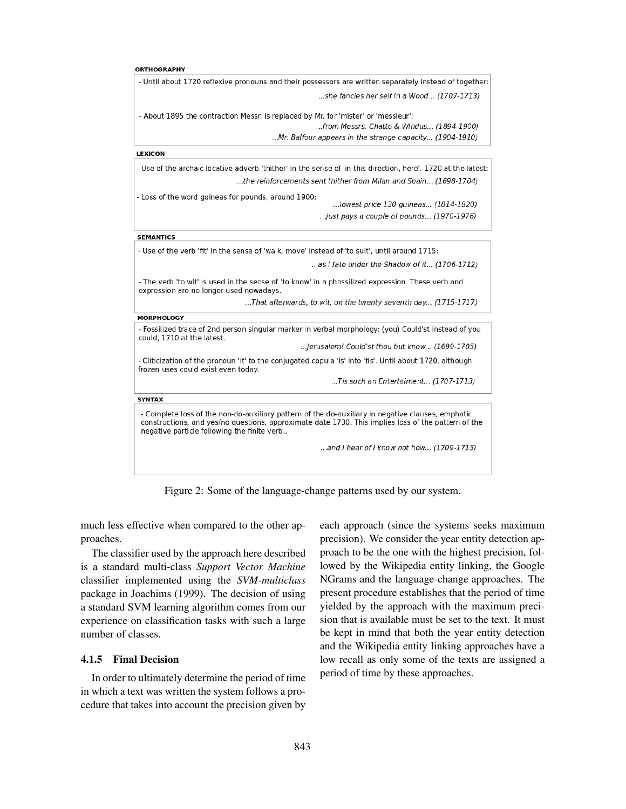#### ORTHOGRAPHY

| - Until about 1720 reflexive pronouns and their possessors are written separately instead of together                                                                                                                                                   |
|---------------------------------------------------------------------------------------------------------------------------------------------------------------------------------------------------------------------------------------------------------|
| she fancies her self in a Wood (1707-1713).                                                                                                                                                                                                             |
| - About 1895 the contraction Messr. is replaced by Mr. for 'mister' or 'messieur':<br>from Messrs. Chatto & Windus (1894-1900)<br>Mr. Balfour appears in the strange capacity (1904-1910)                                                               |
| <b>LEXICON</b>                                                                                                                                                                                                                                          |
|                                                                                                                                                                                                                                                         |
| - Use of the archaic locative adverb 'thither' in the sense of 'in this direction, here'. 1720 at the latest                                                                                                                                            |
| the reinforcements sent thither from Milan and Spain (1698-1704)                                                                                                                                                                                        |
| - Loss of the word guineas for pounds, around 1900:<br>lowest price 130 quineas (1814-1820)                                                                                                                                                             |
| just pays a couple of pounds (1970-1976)                                                                                                                                                                                                                |
| <b>SEMANTICS</b>                                                                                                                                                                                                                                        |
| - Use of the verb 'fit' in the sense of 'walk, move' instead of 'to suit', until around 1715:                                                                                                                                                           |
| as I fate under the Shadow of it (1706-1712).                                                                                                                                                                                                           |
| - The verb 'to wit' is used in the sense of 'to know' in a phossilized expression. These verb and<br>expression are no longer used nowadays.                                                                                                            |
| That afterwards, to wit, on the twenty seventh day (1715-1717).                                                                                                                                                                                         |
| <b>MORPHOLOGY</b>                                                                                                                                                                                                                                       |
| - Fossilized trace of 2nd person singular marker in verbal morphology: (you) Could'st instead of you<br>could, 1710 at the latest.                                                                                                                      |
| Jerusalem! Could'st thou but know (1699-1705).                                                                                                                                                                                                          |
| - Cliticization of the pronoun 'it' to the conjugated copula 'is' into 'tis'. Until about 1720, although<br>frozen uses could exist even today.                                                                                                         |
| Tis such an Entertaiment (1707-1713).                                                                                                                                                                                                                   |
| <b>SYNTAX</b>                                                                                                                                                                                                                                           |
| - Complete loss of the non-do-auxiliary pattern of the do-auxiliary in negative clauses, emphatic<br>constructions, and yes/no questions, approximate date 1730. This implies loss of the pattern of the<br>negative particle following the finite verb |
| and I hear of I know not how (1709-1715).                                                                                                                                                                                                               |

Figure 2: Some of the language-change patterns used by our system.

much less effective when compared to the other approaches.

The classifier used by the approach here described is a standard multi-class *Support Vector Machine* classifier implemented using the *SVM-multiclass* package in Joachims (1999). The decision of using a standard SVM learning algorithm comes from our experience on classification tasks with such a large number of classes.

# 4.1.5 Final Decision

In order to ultimately determine the period of time in which a text was written the system follows a procedure that takes into account the precision given by

each approach (since the systems seeks maximum precision). We consider the year entity detection approach to be the one with the highest precision, followed by the Wikipedia entity linking, the Google NGrams and the language-change approaches. The present procedure establishes that the period of time yielded by the approach with the maximum precision that is available must be set to the text. It must be kept in mind that both the year entity detection and the Wikipedia entity linking approaches have a low recall as only some of the texts are assigned a period of time by these approaches.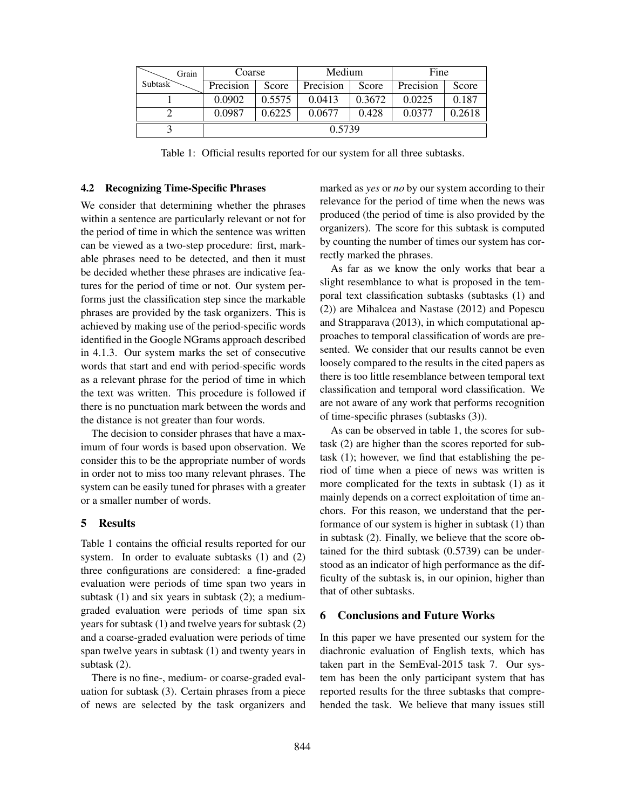| Grain          | Coarse    |        | Medium    |        | Fine      |        |
|----------------|-----------|--------|-----------|--------|-----------|--------|
| <b>Subtask</b> | Precision | Score  | Precision | Score  | Precision | Score  |
|                | 0.0902    | 0.5575 | 0.0413    | 0.3672 | 0.0225    | 0.187  |
|                | 0.0987    | 0.6225 | 0.0677    | 0.428  | 0.0377    | 0.2618 |
|                | 0.5739    |        |           |        |           |        |

Table 1: Official results reported for our system for all three subtasks.

#### 4.2 Recognizing Time-Specific Phrases

We consider that determining whether the phrases within a sentence are particularly relevant or not for the period of time in which the sentence was written can be viewed as a two-step procedure: first, markable phrases need to be detected, and then it must be decided whether these phrases are indicative features for the period of time or not. Our system performs just the classification step since the markable phrases are provided by the task organizers. This is achieved by making use of the period-specific words identified in the Google NGrams approach described in 4.1.3. Our system marks the set of consecutive words that start and end with period-specific words as a relevant phrase for the period of time in which the text was written. This procedure is followed if there is no punctuation mark between the words and the distance is not greater than four words.

The decision to consider phrases that have a maximum of four words is based upon observation. We consider this to be the appropriate number of words in order not to miss too many relevant phrases. The system can be easily tuned for phrases with a greater or a smaller number of words.

# 5 Results

Table 1 contains the official results reported for our system. In order to evaluate subtasks (1) and (2) three configurations are considered: a fine-graded evaluation were periods of time span two years in subtask  $(1)$  and six years in subtask  $(2)$ ; a mediumgraded evaluation were periods of time span six years for subtask (1) and twelve years for subtask (2) and a coarse-graded evaluation were periods of time span twelve years in subtask (1) and twenty years in subtask (2).

There is no fine-, medium- or coarse-graded evaluation for subtask (3). Certain phrases from a piece of news are selected by the task organizers and marked as *yes* or *no* by our system according to their relevance for the period of time when the news was produced (the period of time is also provided by the organizers). The score for this subtask is computed by counting the number of times our system has correctly marked the phrases.

As far as we know the only works that bear a slight resemblance to what is proposed in the temporal text classification subtasks (subtasks (1) and (2)) are Mihalcea and Nastase (2012) and Popescu and Strapparava (2013), in which computational approaches to temporal classification of words are presented. We consider that our results cannot be even loosely compared to the results in the cited papers as there is too little resemblance between temporal text classification and temporal word classification. We are not aware of any work that performs recognition of time-specific phrases (subtasks (3)).

As can be observed in table 1, the scores for subtask (2) are higher than the scores reported for subtask (1); however, we find that establishing the period of time when a piece of news was written is more complicated for the texts in subtask (1) as it mainly depends on a correct exploitation of time anchors. For this reason, we understand that the performance of our system is higher in subtask (1) than in subtask (2). Finally, we believe that the score obtained for the third subtask (0.5739) can be understood as an indicator of high performance as the difficulty of the subtask is, in our opinion, higher than that of other subtasks.

### 6 Conclusions and Future Works

In this paper we have presented our system for the diachronic evaluation of English texts, which has taken part in the SemEval-2015 task 7. Our system has been the only participant system that has reported results for the three subtasks that comprehended the task. We believe that many issues still